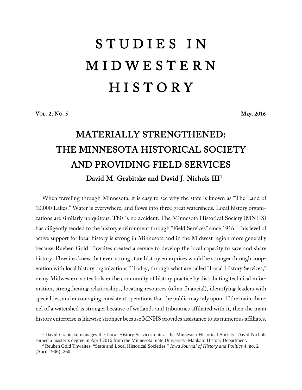# S T U D I E S I N M I D W E S T E R N **HISTORY**

VOL. 2, NO. 5 May, 2016

# MATERIALLY STRENGTHENED: THE MINNESOTA HISTORICAL SOCIETY AND PROVIDING FIELD SERVICES David M. Grabitske and David J. Nichols III[1](#page-0-0)

When traveling through Minnesota, it is easy to see why the state is known as "The Land of 10,000 Lakes." Water is everywhere, and flows into three great watersheds. Local history organizations are similarly ubiquitous. This is no accident. The Minnesota Historical Society (MNHS) has diligently tended to the history environment through "Field Services" since 1916. This level of active support for local history is strong in Minnesota and in the Midwest region more generally because Rueben Gold Thwaites created a service to develop the local capacity to save and share history. Thwaites knew that even strong state history enterprises would be stronger through cooperation with local history organizations. [2](#page-0-1) Today, through what are called "Local History Services," many Midwestern states bolster the community of history practice by distributing technical information, strengthening relationships, locating resources (often financial), identifying leaders with specialties, and encouraging consistent operations that the public may rely upon. If the main channel of a watershed is stronger because of wetlands and tributaries affiliated with it, then the main history enterprise is likewise stronger because MNHS provides assistance to its numerous affiliates.

<span id="page-0-0"></span><sup>&</sup>lt;sup>1</sup> David Grabitske manages the Local History Services unit at the Minnesota Historical Society. David Nichols earned a master's degree in April 2016 from the Minnesota State University–Mankato History Department.

<span id="page-0-1"></span><sup>2</sup> Reuben Gold Thwaites, "State and Local Historical Societies," *Iowa Journal of History and Politics* 4, no. 2 (April 1906): 260.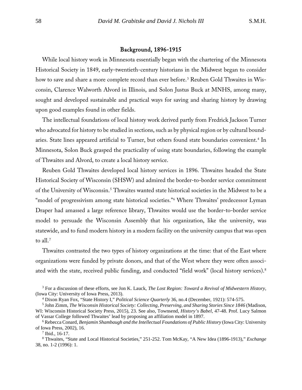## Background, 1896-1915

While local history work in Minnesota essentially began with the chartering of the Minnesota Historical Society in 1849, early-twentieth-century historians in the Midwest began to consider how to save and share a more complete record than ever before. [3](#page-1-0) Reuben Gold Thwaites in Wisconsin, Clarence Walworth Alvord in Illinois, and Solon Justus Buck at MNHS, among many, sought and developed sustainable and practical ways for saving and sharing history by drawing upon good examples found in other fields.

The intellectual foundations of local history work derived partly from Fredrick Jackson Turner who advocated for history to be studied in sections, such as by physical region or by cultural bound-aries. State lines appeared artificial to Turner, but others found state boundaries convenient.<sup>[4](#page-1-1)</sup> In Minnesota, Solon Buck grasped the practicality of using state boundaries, following the example of Thwaites and Alvord, to create a local history service.

Reuben Gold Thwaites developed local history services in 1896. Thwaites headed the State Historical Society of Wisconsin (SHSW) and admired the border-to-border service commitment of the University of Wisconsin.<sup>[5](#page-1-2)</sup> Thwaites wanted state historical societies in the Midwest to be a "model of progressivism among state historical societies."<sup>[6](#page-1-3)</sup> Where Thwaites' predecessor Lyman Draper had amassed a large reference library, Thwaites would use the border-to-border service model to persuade the Wisconsin Assembly that his organization, like the university, was statewide, and to fund modern history in a modern facility on the university campus that was open to all.<sup>[7](#page-1-4)</sup>

Thwaites contrasted the two types of history organizations at the time: that of the East where organizations were funded by private donors, and that of the West where they were often associ-ated with the state, received public funding, and conducted "field work" (local history services).<sup>[8](#page-1-5)</sup>

<span id="page-1-0"></span><sup>3</sup> For a discussion of these efforts, see Jon K. Lauck, *The Lost Region: Toward a Revival of Midwestern History*, (Iowa City: University of Iowa Press, 2013).

<sup>4</sup> Dixon Ryan Fox, "State History I," *Political Science Quarterly* 36, no.4 (December, 1921): 574-575.

<span id="page-1-2"></span><span id="page-1-1"></span><sup>5</sup> John Zimm, *The Wisconsin Historical Society: Collecting, Preserving, and Sharing Stories Since 1846* (Madison, WI: Wisconsin Historical Society Press, 2015), 23. See also, Townsend, *History's Babel*, 47-48. Prof. Lucy Salmon of Vassar College followed Thwaites' lead by proposing an affiliation model in 1897.

<span id="page-1-3"></span><sup>6</sup> Rebecca Conard, *Benjamin Shambaugh and the Intellectual Foundations of Public History* (Iowa City: University of Iowa Press, 2002), 16.

<sup>7</sup> Ibid., 16-17.

<span id="page-1-5"></span><span id="page-1-4"></span><sup>8</sup> Thwaites, "State and Local Historical Societies," 251-252. Tom McKay, "A New Idea (1896-1913)," *Exchange*  38, no. 1-2 (1996): 1.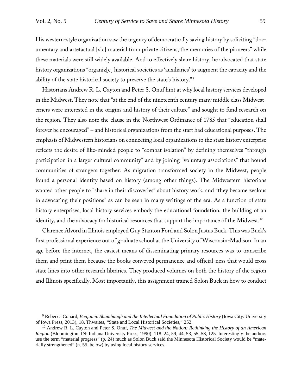His western-style organization saw the urgency of democratically saving history by soliciting "documentary and artefactual [sic] material from private citizens, the memories of the pioneers" while these materials were still widely available. And to effectively share history, he advocated that state history organizations "organiz[e] historical societies as 'auxiliaries' to augment the capacity and the ability of the state historical society to preserve the state's history."[9](#page-2-0)

Historians Andrew R. L. Cayton and Peter S. Onuf hint at why local history services developed in the Midwest. They note that "at the end of the nineteenth century many middle class Midwesterners were interested in the origins and history of their culture" and sought to fund research on the region. They also note the clause in the Northwest Ordinance of 1785 that "education shall forever be encouraged" – and historical organizations from the start had educational purposes. The emphasis of Midwestern historians on connecting local organizations to the state history enterprise reflects the desire of like-minded people to "combat isolation" by defining themselves "through participation in a larger cultural community" and by joining "voluntary associations" that bound communities of strangers together. As migration transformed society in the Midwest, people found a personal identity based on history (among other things). The Midwestern historians wanted other people to "share in their discoveries" about history work, and "they became zealous in advocating their positions" as can be seen in many writings of the era. As a function of state history enterprises, local history services embody the educational foundation, the building of an identity, and the advocacy for historical resources that support the importance of the Midwest.[10](#page-2-1)

Clarence Alvord in Illinois employed Guy Stanton Ford and Solon Justus Buck. This was Buck's first professional experience out of graduate school at the University of Wisconsin-Madison. In an age before the internet, the easiest means of disseminating primary resources was to transcribe them and print them because the books conveyed permanence and official-ness that would cross state lines into other research libraries. They produced volumes on both the history of the region and Illinois specifically. Most importantly, this assignment trained Solon Buck in how to conduct

<span id="page-2-0"></span><sup>9</sup> Rebecca Conard, *Benjamin Shambaugh and the Intellectual Foundation of Public History* (Iowa City: University of Iowa Press, 2013), 18. Thwaites, "State and Local Historical Societies," 252.

<span id="page-2-1"></span><sup>10</sup> Andrew R. L. Cayton and Peter S. Onuf, *The Midwest and the Nation: Rethinking the History of an American Region* (Bloomington, IN: Indiana University Press, 1990), 118, 24, 59, 44, 53, 55, 58, 125. Interestingly the authors use the term "material progress" (p. 24) much as Solon Buck said the Minnesota Historical Society would be "materially strengthened" (n. 55, below) by using local history services.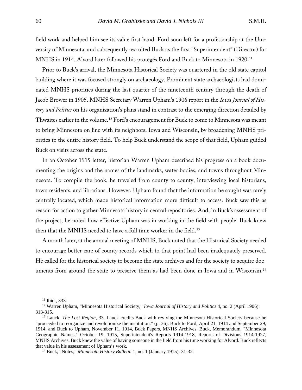field work and helped him see its value first hand. Ford soon left for a professorship at the University of Minnesota, and subsequently recruited Buck as the first "Superintendent" (Director) for MNHS in 1914. Alvord later followed his protégés Ford and Buck to Minnesota in 1920.<sup>[11](#page-3-0)</sup>

Prior to Buck's arrival, the Minnesota Historical Society was quartered in the old state capitol building where it was focused strongly on archaeology. Prominent state archaeologists had dominated MNHS priorities during the last quarter of the nineteenth century through the death of Jacob Brower in 1905. MNHS Secretary Warren Upham's 1906 report in the *Iowa Journal of History and Politics* on his organization's plans stand in contrast to the emerging direction detailed by Thwaites earlier in the volume.<sup>[12](#page-3-1)</sup> Ford's encouragement for Buck to come to Minnesota was meant to bring Minnesota on line with its neighbors, Iowa and Wisconsin, by broadening MNHS priorities to the entire history field. To help Buck understand the scope of that field, Upham guided Buck on visits across the state.

In an October 1915 letter, historian Warren Upham described his progress on a book documenting the origins and the names of the landmarks, water bodies, and towns throughout Minnesota. To compile the book, he traveled from county to county, interviewing local historians, town residents, and librarians. However, Upham found that the information he sought was rarely centrally located, which made historical information more difficult to access. Buck saw this as reason for action to gather Minnesota history in central repositories. And, in Buck's assessment of the project, he noted how effective Upham was in working in the field with people. Buck knew then that the MNHS needed to have a full time worker in the field.<sup>[13](#page-3-2)</sup>

A month later, at the annual meeting of MNHS, Buck noted that the Historical Society needed to encourage better care of county records which to that point had been inadequately preserved. He called for the historical society to become the state archives and for the society to acquire doc-uments from around the state to preserve them as had been done in Iowa and in Wisconsin.<sup>[14](#page-3-3)</sup>

<sup>&</sup>lt;sup>11</sup> Ibid., 333.

<span id="page-3-1"></span><span id="page-3-0"></span><sup>12</sup> Warren Upham, "Minnesota Historical Society," *Iowa Journal of History and Politics* 4, no. 2 (April 1906): 313-315.

<span id="page-3-2"></span><sup>13</sup> Lauck, *The Lost Region*, 33. Lauck credits Buck with reviving the Minnesota Historical Society because he "proceeded to reorganize and revolutionize the institution." (p. 36). Buck to Ford, April 21, 1914 and September 29, 1914, and Buck to Upham, November 11, 1914, Buck Papers, MNHS Archives. Buck, Memorandum, "Minnesota Geographic Names," October 19, 1915, Superintendent's Reports 1914-1918, Reports of Divisions 1914-1927, MNHS Archives. Buck knew the value of having someone in the field from his time working for Alvord. Buck reflects that value in his assessment of Upham's work.

<span id="page-3-3"></span><sup>14</sup> Buck, "Notes," *Minnesota History Bulletin* 1, no. 1 (January 1915): 31-32.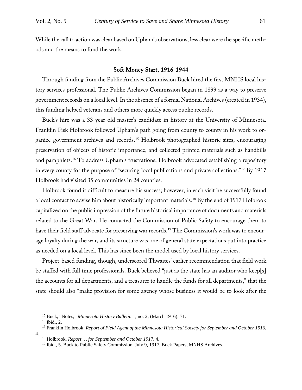While the call to action was clear based on Upham's observations, less clear were the specific methods and the means to fund the work.

#### Soft Money Start, 1916-1944

Through funding from the Public Archives Commission Buck hired the first MNHS local history services professional. The Public Archives Commission began in 1899 as a way to preserve government records on a local level. In the absence of a formal National Archives (created in 1934), this funding helped veterans and others more quickly access public records.

Buck's hire was a 33-year-old master's candidate in history at the University of Minnesota. Franklin Fisk Holbrook followed Upham's path going from county to county in his work to organize government archives and records.[15](#page-4-0) Holbrook photographed historic sites, encouraging preservation of objects of historic importance, and collected printed materials such as handbills and pamphlets.[16](#page-4-1) To address Upham's frustrations, Holbrook advocated establishing a repository in every county for the purpose of "securing local publications and private collections."[17](#page-4-2) By 1917 Holbrook had visited 35 communities in 24 counties.

Holbrook found it difficult to measure his success; however, in each visit he successfully found a local contact to advise him about historically important materials.<sup>[18](#page-4-3)</sup> By the end of 1917 Holbrook capitalized on the public impression of the future historical importance of documents and materials related to the Great War. He contacted the Commission of Public Safety to encourage them to have their field staff advocate for preserving war records. [19](#page-4-4) The Commission's work was to encourage loyalty during the war, and its structure was one of general state expectations put into practice as needed on a local level. This has since been the model used by local history services.

Project-based funding, though, underscored Thwaites' earlier recommendation that field work be staffed with full time professionals. Buck believed "just as the state has an auditor who keep[s] the accounts for all departments, and a treasurer to handle the funds for all departments," that the state should also "make provision for some agency whose business it would be to look after the

<sup>16</sup> Ibid., 2.

<sup>15</sup> Buck, "Notes," *Minnesota History Bulletin* 1, no. 2, (March 1916): 71.

<span id="page-4-4"></span><span id="page-4-3"></span><span id="page-4-2"></span><span id="page-4-1"></span><span id="page-4-0"></span><sup>17</sup> Franklin Holbrook, *Report of Field Agent of the Minnesota Historical Society for September and October 1916*, 4.

<sup>18</sup> Holbrook, *Report … for September and October 1917*, 4.

<sup>&</sup>lt;sup>19</sup> Ibid., 5. Buck to Public Safety Commission, July 9, 1917, Buck Papers, MNHS Archives.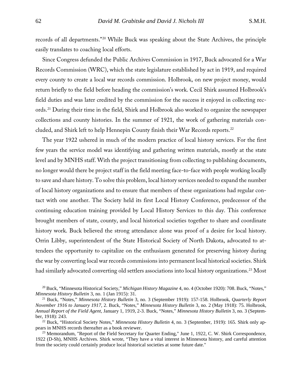records of all departments."[20](#page-5-0) While Buck was speaking about the State Archives, the principle easily translates to coaching local efforts.

Since Congress defunded the Public Archives Commission in 1917, Buck advocated for a War Records Commission (WRC), which the state legislature established by act in 1919, and required every county to create a local war records commission. Holbrook, on new project money, would return briefly to the field before heading the commission's work. Cecil Shirk assumed Holbrook's field duties and was later credited by the commission for the success it enjoyed in collecting records.[21](#page-5-1) During their time in the field, Shirk and Holbrook also worked to organize the newspaper collections and county histories. In the summer of 1921, the work of gathering materials concluded, and Shirk left to help Hennepin County finish their War Records reports.[22](#page-5-2)

The year 1922 ushered in much of the modern practice of local history services. For the first few years the service model was identifying and gathering written materials, mostly at the state level and by MNHS staff. With the project transitioning from collecting to publishing documents, no longer would there be project staff in the field meeting face-to-face with people working locally to save and share history. To solve this problem, local history services needed to expand the number of local history organizations and to ensure that members of these organizations had regular contact with one another. The Society held its first Local History Conference, predecessor of the continuing education training provided by Local History Services to this day. This conference brought members of state, county, and local historical societies together to share and coordinate history work. Buck believed the strong attendance alone was proof of a desire for local history. Orrin Libby, superintendent of the State Historical Society of North Dakota, advocated to attendees the opportunity to capitalize on the enthusiasm generated for preserving history during the war by converting local war records commissions into permanent local historical societies. Shirk had similarly advocated converting old settlers associations into local history organizations.<sup>23</sup> Most

<span id="page-5-0"></span><sup>20</sup> Buck, "Minnesota Historical Society," *Michigan History Magazine* 4, no. 4 (October 1920): 708. Buck, "Notes," *Minnesota History Bulletin* 3, no. 1 (Jan 1915): 31.

<span id="page-5-1"></span><sup>21</sup> Buck, "Notes," *Minnesota History Bulletin* 3, no. 3 (September 1919): 157-158. Holbrook, *Quarterly Report November 1916 to January 1917*, 2. Buck, "Notes," *Minnesota History Bulletin* 3, no. 2 (May 1918): 75. Holbrook, *Annual Report of the Field Agent*, January 1, 1919, 2-3. Buck, "Notes," *Minnesota History Bulletin* 3, no. 3 (September, 1918): 243.

<span id="page-5-2"></span><sup>&</sup>lt;sup>22</sup> Buck, "Historical Society Notes," *Minnesota History Bulletin* 4, no. 3 (September, 1919): 165. Shirk only appears in MNHS records thereafter as a book reviewer.

<span id="page-5-3"></span><sup>&</sup>lt;sup>23</sup> Memorandum, "Report of the Field Secretary for Quarter Ending," June 1, 1922, C. W. Shirk Correspondence, 1922 (D-Sh), MNHS Archives. Shirk wrote, "They have a vital interest in Minnesota history, and careful attention from the society could certainly produce local historical societies at some future date."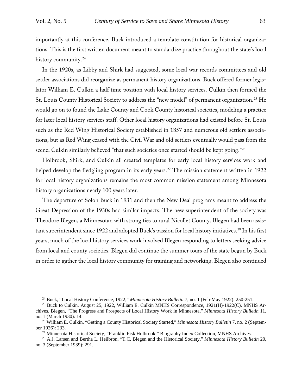importantly at this conference, Buck introduced a template constitution for historical organizations. This is the first written document meant to standardize practice throughout the state's local history community.<sup>[24](#page-6-0)</sup>

In the 1920s, as Libby and Shirk had suggested, some local war records committees and old settler associations did reorganize as permanent history organizations. Buck offered former legislator William E. Culkin a half time position with local history services. Culkin then formed the St. Louis County Historical Society to address the "new model" of permanent organization. [25](#page-6-1) He would go on to found the Lake County and Cook County historical societies, modeling a practice for later local history services staff. Other local history organizations had existed before St. Louis such as the Red Wing Historical Society established in 1857 and numerous old settlers associations, but as Red Wing ceased with the Civil War and old settlers eventually would pass from the scene, Culkin similarly believed "that such societies once started should be kept going."[26](#page-6-2)

Holbrook, Shirk, and Culkin all created templates for early local history services work and helped develop the fledgling program in its early years.<sup>[27](#page-6-3)</sup> The mission statement written in 1922 for local history organizations remains the most common mission statement among Minnesota history organizations nearly 100 years later.

The departure of Solon Buck in 1931 and then the New Deal programs meant to address the Great Depression of the 1930s had similar impacts. The new superintendent of the society was Theodore Blegen, a Minnesotan with strong ties to rural Nicollet County. Blegen had been assis-tant superintendent since 1922 and adopted Buck's passion for local history initiatives.<sup>[28](#page-6-4)</sup> In his first years, much of the local history services work involved Blegen responding to letters seeking advice from local and county societies. Blegen did continue the summer tours of the state begun by Buck in order to gather the local history community for training and networking. Blegen also continued

<sup>24</sup> Buck, "Local History Conference, 1922," *Minnesota History Bulletin* 7, no. 1 (Feb-May 1922): 250-251.

<span id="page-6-4"></span><span id="page-6-3"></span><sup>28</sup> A.J. Larsen and Bertha L. Heilbron, "T.C. Blegen and the Historical Society," *Minnesota History Bulletin* 20, no. 3 (September 1939): 291.

<span id="page-6-1"></span><span id="page-6-0"></span><sup>&</sup>lt;sup>25</sup> Buck to Culkin, August 25, 1922, William E. Culkin MNHS Correspondence, 1921(H)-1922(C), MNHS Archives. Blegen, "The Progress and Prospects of Local History Work in Minnesota," *Minnesota History Bulletin* 11, no. 1 (March 1930): 14.

<span id="page-6-2"></span><sup>26</sup> William E. Culkin, "Getting a County Historical Society Started," *Minnesota History Bulletin* 7, no. 2 (September 1926): 233.<br><sup>27</sup> Minnesota Historical Society, "Franklin Fisk Holbrook," Biography Index Collection, MNHS Archives.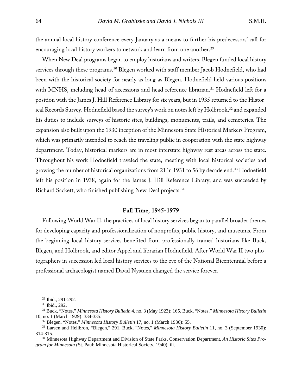the annual local history conference every January as a means to further his predecessors' call for encouraging local history workers to network and learn from one another.<sup>[29](#page-7-0)</sup>

When New Deal programs began to employ historians and writers, Blegen funded local history services through these programs.<sup>[30](#page-7-1)</sup> Blegen worked with staff member Jacob Hodnefield, who had been with the historical society for nearly as long as Blegen. Hodnefield held various positions with MNHS, including head of accessions and head reference librarian.<sup>[31](#page-7-2)</sup> Hodnefield left for a position with the James J. Hill Reference Library for six years, but in 1935 returned to the Histor-ical Records Survey. Hodnefield based the survey's work on notes left by Holbrook,<sup>[32](#page-7-3)</sup> and expanded his duties to include surveys of historic sites, buildings, monuments, trails, and cemeteries. The expansion also built upon the 1930 inception of the Minnesota State Historical Markers Program, which was primarily intended to reach the traveling public in cooperation with the state highway department. Today, historical markers are in most interstate highway rest areas across the state. Throughout his work Hodnefield traveled the state, meeting with local historical societies and growing the number of historical organizations from 21 in 1931 to 56 by decade end.[33](#page-7-4) Hodnefield left his position in 1938, again for the James J. Hill Reference Library, and was succeeded by Richard Sackett, who finished publishing New Deal projects.<sup>[34](#page-7-5)</sup>

## Full Time, 1945-1979

Following World War II, the practices of local history services began to parallel broader themes for developing capacity and professionalization of nonprofits, public history, and museums. From the beginning local history services benefited from professionally trained historians like Buck, Blegen, and Holbrook, and editor Appel and librarian Hodnefield. After World War II two photographers in succession led local history services to the eve of the National Bicentennial before a professional archaeologist named David Nystuen changed the service forever.

 $^{29}$  Ibid., 291-292.<br> $^{30}$  Ibid., 292.

<sup>32</sup> Blegen, "Notes," *Minnesota History Bulletin* 17, no. 1 (March 1936): 55.

<span id="page-7-5"></span><sup>34</sup> Minnesota Highway Department and Division of State Parks, Conservation Department, *An Historic Sites Program for Minnesota* (St. Paul: Minnesota Historical Society, 1940), iii.

<span id="page-7-2"></span><span id="page-7-1"></span><span id="page-7-0"></span><sup>31</sup> Buck, "Notes," *Minnesota History Bulletin* 4, no. 3 (May 1923): 165. Buck, "Notes," *Minnesota History Bulletin* 10, no. 1 (March 1929): 334-335.

<span id="page-7-4"></span><span id="page-7-3"></span><sup>33</sup> Larsen and Heilbron, "Blegen," 291. Buck, "Notes," *Minnesota History Bulletin* 11, no. 3 (September 1930): 314-315.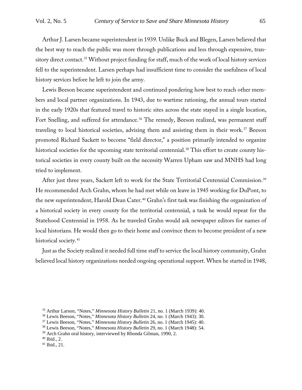Arthur J. Larsen became superintendent in 1939. Unlike Buck and Blegen, Larsen believed that the best way to reach the public was more through publications and less through expensive, tran-sitory direct contact.<sup>[35](#page-8-0)</sup> Without project funding for staff, much of the work of local history services fell to the superintendent. Larsen perhaps had insufficient time to consider the usefulness of local history services before he left to join the army.

Lewis Beeson became superintendent and continued pondering how best to reach other members and local partner organizations. In 1943, due to wartime rationing, the annual tours started in the early 1920s that featured travel to historic sites across the state stayed in a single location, Fort Snelling, and suffered for attendance.<sup>[36](#page-8-1)</sup> The remedy, Beeson realized, was permanent staff traveling to local historical societies, advising them and assisting them in their work.[37](#page-8-2) Beeson promoted Richard Sackett to become "field director," a position primarily intended to organize historical societies for the upcoming state territorial centennial.<sup>[38](#page-8-3)</sup> This effort to create county historical societies in every county built on the necessity Warren Upham saw and MNHS had long tried to implement.

After just three years, Sackett left to work for the State Territorial Centennial Commission. [39](#page-8-4) He recommended Arch Grahn, whom he had met while on leave in 1945 working for DuPont, to the new superintendent, Harold Dean Cater.<sup>[40](#page-8-5)</sup> Grahn's first task was finishing the organization of a historical society in every county for the territorial centennial, a task he would repeat for the Statehood Centennial in 1958. As he traveled Grahn would ask newspaper editors for names of local historians. He would then go to their home and convince them to become president of a new historical society.<sup>[41](#page-8-6)</sup>

Just as the Society realized it needed full time staff to service the local history community, Grahn believed local history organizations needed ongoing operational support. When he started in 1948,

<span id="page-8-0"></span><sup>35</sup> Arthur Larson, "Notes," *Minnesota History Bulletin* 21, no. 1 (March 1939): 40.

<sup>36</sup> Lewis Beeson, "Notes," *Minnesota History Bulletin* 24, no. 1 (March 1943): 30.

<span id="page-8-2"></span><span id="page-8-1"></span><sup>37</sup> Lewis Beeson, "Notes," *Minnesota History Bulletin* 26, no. 1 (March 1945): 40.

<span id="page-8-3"></span><sup>38</sup> Lewis Beeson, "Notes," *Minnesota History Bulletin* 29, no. 1 (March 1948): 54.

<span id="page-8-4"></span><sup>&</sup>lt;sup>39</sup> Arch Grahn oral history, interviewed by Rhonda Gilman, 1990, 2.

<span id="page-8-5"></span> $40$  Ibid., 2.

<span id="page-8-6"></span><sup>41</sup> Ibid., 21.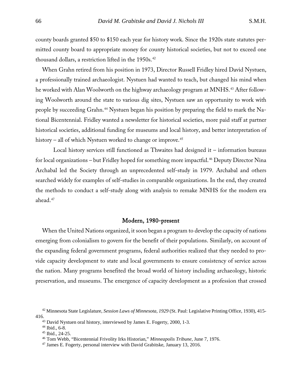county boards granted \$50 to \$150 each year for history work. Since the 1920s state statutes permitted county board to appropriate money for county historical societies, but not to exceed one thousand dollars, a restriction lifted in the 1950s.<sup>[42](#page-9-0)</sup>

When Grahn retired from his position in 1973, Director Russell Fridley hired David Nystuen, a professionally trained archaeologist. Nystuen had wanted to teach, but changed his mind when he worked with Alan Woolworth on the highway archaeology program at MNHS. [43](#page-9-1) After following Woolworth around the state to various dig sites, Nystuen saw an opportunity to work with people by succeeding Grahn.<sup>[44](#page-9-2)</sup> Nystuen began his position by preparing the field to mark the National Bicentennial. Fridley wanted a newsletter for historical societies, more paid staff at partner historical societies, additional funding for museums and local history, and better interpretation of history – all of which Nystuen worked to change or improve. [45](#page-9-3)

Local history services still functioned as Thwaites had designed it – information bureaus for local organizations – but Fridley hoped for something more impactful.<sup>[46](#page-9-4)</sup> Deputy Director Nina Archabal led the Society through an unprecedented self-study in 1979. Archabal and others searched widely for examples of self-studies in comparable organizations. In the end, they created the methods to conduct a self-study along with analysis to remake MNHS for the modern era ahead. [47](#page-9-5)

#### Modern, 1980-present

When the United Nations organized, it soon began a program to develop the capacity of nations emerging from colonialism to govern for the benefit of their populations. Similarly, on account of the expanding federal government programs, federal authorities realized that they needed to provide capacity development to state and local governments to ensure consistency of service across the nation. Many programs benefited the broad world of history including archaeology, historic preservation, and museums. The emergence of capacity development as a profession that crossed

<span id="page-9-3"></span><span id="page-9-2"></span><span id="page-9-1"></span><span id="page-9-0"></span><sup>42</sup> Minnesota State Legislature, *Session Laws of Minnesota, 1929* (St. Paul: Legislative Printing Office, 1930), 415- 416.<br><sup>43</sup> David Nystuen oral history, interviewed by James E. Fogerty, 2000, 1-3.

<sup>44</sup> Ibid., 6-8.

<sup>45</sup> Ibid., 24-25.

<span id="page-9-5"></span><span id="page-9-4"></span><sup>46</sup> Tom Webb, "Bicentennial Frivolity Irks Historian," *Minneapolis Tribune*, June 7, 1976.

<sup>&</sup>lt;sup>47</sup> James E. Fogerty, personal interview with David Grabitske, January 13, 2016.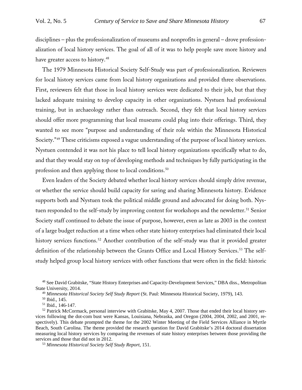disciplines – plus the professionalization of museums and nonprofits in general – drove professionalization of local history services. The goal of all of it was to help people save more history and have greater access to history.<sup>[48](#page-10-0)</sup>

The 1979 Minnesota Historical Society Self-Study was part of professionalization. Reviewers for local history services came from local history organizations and provided three observations. First, reviewers felt that those in local history services were dedicated to their job, but that they lacked adequate training to develop capacity in other organizations. Nystuen had professional training, but in archaeology rather than outreach. Second, they felt that local history services should offer more programming that local museums could plug into their offerings. Third, they wanted to see more "purpose and understanding of their role within the Minnesota Historical Society."<sup>[49](#page-10-1)</sup> These criticisms exposed a vague understanding of the purpose of local history services. Nystuen contended it was not his place to tell local history organizations specifically what to do, and that they would stay on top of developing methods and techniques by fully participating in the profession and then applying those to local conditions.<sup>[50](#page-10-2)</sup>

Even leaders of the Society debated whether local history services should simply drive revenue, or whether the service should build capacity for saving and sharing Minnesota history. Evidence supports both and Nystuen took the political middle ground and advocated for doing both. Nys-tuen responded to the self-study by improving content for workshops and the newsletter.<sup>[51](#page-10-3)</sup> Senior Society staff continued to debate the issue of purpose, however, even as late as 2003 in the context of a large budget reduction at a time when other state history enterprises had eliminated their local history services functions.<sup>[52](#page-10-4)</sup> Another contribution of the self-study was that it provided greater definition of the relationship between the Grants Office and Local History Services.<sup>[53](#page-10-5)</sup> The selfstudy helped group local history services with other functions that were often in the field: historic

<span id="page-10-1"></span><span id="page-10-0"></span><sup>48</sup> See David Grabitske, "State History Enterprises and Capacity-Development Services," DBA diss., Metropolitan State University, 2014.

<sup>49</sup> *Minnesota Historical Society Self Study Report* (St. Paul: Minnesota Historical Society, 1979), 143.

<sup>50</sup> Ibid., 145.

<sup>51</sup> Ibid., 146-147.

<span id="page-10-4"></span><span id="page-10-3"></span><span id="page-10-2"></span> $52$  Patrick McCormack, personal interview with Grabitske, May 4, 2007. Those that ended their local history services following the dot-com bust were Kansas, Louisiana, Nebraska, and Oregon (2004, 2004, 2002, and 2001, respectively). This debate prompted the theme for the 2002 Winter Meeting of the Field Services Alliance in Myrtle Beach, South Carolina. The theme provided the research question for David Grabitske's 2014 doctoral dissertation measuring local history services by comparing the revenues of state history enterprises between those providing the services and those that did not in 2012.

<span id="page-10-5"></span><sup>53</sup> *Minnesota Historical Society Self Study Report*, 151.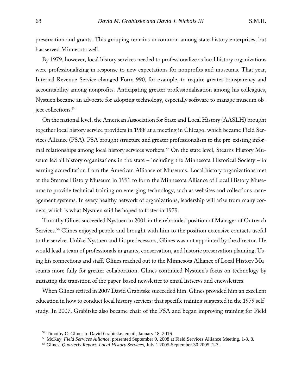preservation and grants. This grouping remains uncommon among state history enterprises, but has served Minnesota well.

By 1979, however, local history services needed to professionalize as local history organizations were professionalizing in response to new expectations for nonprofits and museums. That year, Internal Revenue Service changed Form 990, for example, to require greater transparency and accountability among nonprofits. Anticipating greater professionalization among his colleagues, Nystuen became an advocate for adopting technology, especially software to manage museum ob-ject collections.<sup>[54](#page-11-0)</sup>

On the national level, the American Association for State and Local History (AASLH) brought together local history service providers in 1988 at a meeting in Chicago, which became Field Services Alliance (FSA). FSA brought structure and greater professionalism to the pre-existing infor-mal relationships among local history services workers.<sup>[55](#page-11-1)</sup> On the state level, Stearns History Museum led all history organizations in the state – including the Minnesota Historical Society – in earning accreditation from the American Alliance of Museums. Local history organizations met at the Stearns History Museum in 1991 to form the Minnesota Alliance of Local History Museums to provide technical training on emerging technology, such as websites and collections management systems. In every healthy network of organizations, leadership will arise from many corners, which is what Nystuen said he hoped to foster in 1979.

Timothy Glines succeeded Nystuen in 2001 in the rebranded position of Manager of Outreach Services.<sup>[56](#page-11-2)</sup> Glines enjoyed people and brought with him to the position extensive contacts useful to the service. Unlike Nystuen and his predecessors, Glines was not appointed by the director. He would lead a team of professionals in grants, conservation, and historic preservation planning. Using his connections and staff, Glines reached out to the Minnesota Alliance of Local History Museums more fully for greater collaboration. Glines continued Nystuen's focus on technology by initiating the transition of the paper-based newsletter to email listservs and enewsletters.

When Glines retired in 2007 David Grabitske succeeded him. Glines provided him an excellent education in how to conduct local history services: that specific training suggested in the 1979 selfstudy. In 2007, Grabitske also became chair of the FSA and began improving training for Field

<sup>54</sup> Timothy C. Glines to David Grabitske, email, January 18, 2016.

<span id="page-11-2"></span><span id="page-11-1"></span><span id="page-11-0"></span><sup>55</sup> McKay*, Field Services Alliance*, presented September 9, 2008 at Field Services Alliance Meeting, 1-3, 8.

<sup>56</sup> Glines, *Quarterly Report: Local History Services*, July 1 2005-September 30 2005, 1-7.